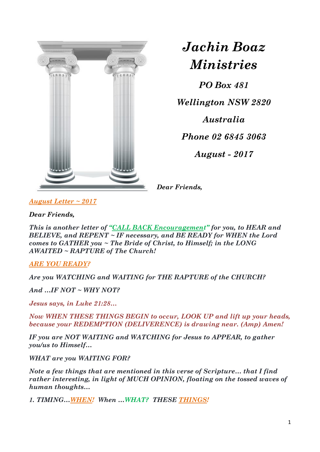

## *Jachin Boaz Ministries*

*PO Box 481*

*Wellington NSW 2820*

*Australia*

*Phone 02 6845 3063*

*August - 2017*

*Dear Friends,*

*August Letter ~ 2017*

*Dear Friends,*

*This is another letter of "CALL BACK Encouragement" for you, to HEAR and BELIEVE, and REPENT ~ IF necessary, and BE READY for WHEN the Lord comes to GATHER you ~ The Bride of Christ, to Himself; in the LONG AWAITED ~ RAPTURE of The Church!* 

*ARE YOU READY?*

*Are you WATCHING and WAITING for THE RAPTURE of the CHURCH?*

*And …IF NOT ~ WHY NOT?*

*Jesus says, in Luke 21:28…*

*Now WHEN THESE THINGS BEGIN to occur, LOOK UP and lift up your heads, because your REDEMPTION (DELIVERENCE) is drawing near. (Amp) Amen!*

*IF you are NOT WAITING and WATCHING for Jesus to APPEAR, to gather you/us to Himself…*

*WHAT are you WAITING FOR?*

*Note a few things that are mentioned in this verse of Scripture… that I find rather interesting, in light of MUCH OPINION, floating on the tossed waves of human thoughts…*

*1. TIMING…WHEN! When …WHAT? THESE THINGS!*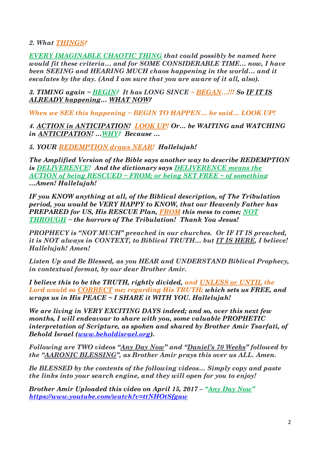## *2. What THINGS?*

*EVERY IMAGINABLE CHAOTIC THING that could possibly be named here would fit these criteria… and for SOME CONSIDERABLE TIME… now, I have been SEEING and HEARING MUCH chaos happening in the world… and it escalates by the day. (And I am sure that you are aware of it all, also).*

*3. TIMING again ~ BEGIN? It has LONG SINCE ~ BEGAN…!!! So IF IT IS ALREADY happening… WHAT NOW?*

*When we SEE this happening ~ BEGIN TO HAPPEN… he said… LOOK UP!*

*4. ACTION in ANTICIPATION! LOOK UP! Or… be WAITING and WATCHING in ANTICIPATION! …WHY? Because …*

*5. YOUR REDEMPTION draws NEAR! Hallelujah!*

*The Amplified Version of the Bible says another way to describe REDEMPTION is DELIVERENCE! And the dictionary says DELIVERENCE means the ACTION of being RESCUED ~ FROM; or being SET FREE ~ of something …Amen! Hallelujah!*

*IF you KNOW anything at all, of the Biblical description, of The Tribulation period, you would be VERY HAPPY to KNOW, that our Heavenly Father has PREPARED for US, His RESCUE Plan, FROM this mess to come; NOT THROUGH ~ the horrors of The Tribulation! Thank You Jesus!*

*PROPHECY is "NOT MUCH" preached in our churches. Or IF IT IS preached, it is NOT always in CONTEXT, to Biblical TRUTH… but IT IS HERE, I believe! Hallelujah! Amen!*

*Listen Up and Be Blessed, as you HEAR and UNDERSTAND Biblical Prophecy, in contextual format, by our dear Brother Amir.* 

*I believe this to be the TRUTH, rightly divided, and UNLESS or UNTIL the Lord would so CORRECT me; regarding His TRUTH; which sets us FREE, and wraps us in His PEACE ~ I SHARE it WITH YOU. Hallelujah!*

*We are living in VERY EXCITING DAYS indeed; and so, over this next few months, I will endeavour to share with you, some valuable PROPHETIC interpretation of Scripture, as spoken and shared by Brother Amir Tsarfati, of Behold Israel [\(www.beholdisrael.org\)](http://www.beholdisrael.org/).*

*Following are TWO videos "Any Day Now" and "Daniel's 70 Weeks" followed by the "AARONIC BLESSING", as Brother Amir prays this over us ALL. Amen.*

*Be BLESSED by the contents of the following videos… Simply copy and paste the links into your search engine, and they will open for you to enjoy!*

*Brother Amir Uploaded this video on April 15, 2017 – "<u>Any Day Now</u>" <https://www.youtube.com/watch?v=ttNHOtSfgaw>*